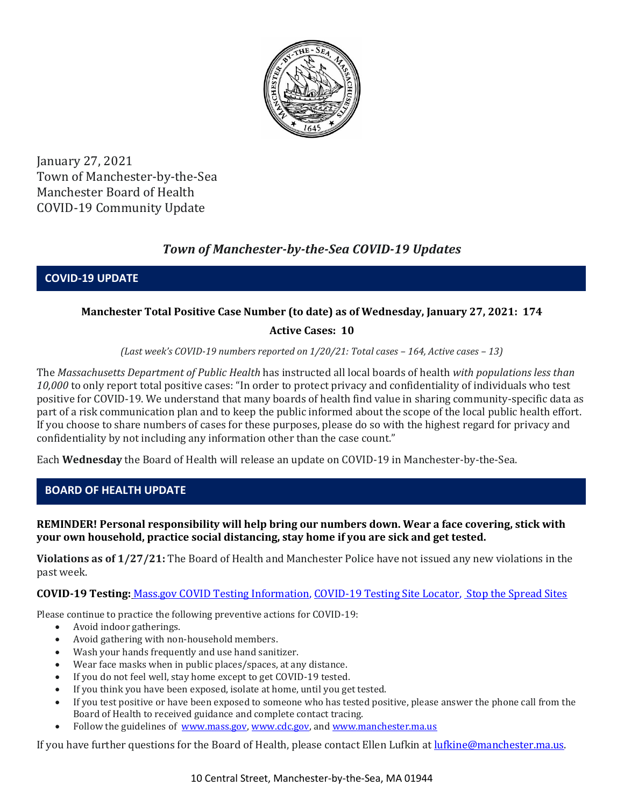

January 27, 2021 Town of Manchester-by-the-Sea Manchester Board of Health COVID-19 Community Update

# *Town of Manchester-by-the-Sea COVID-19 Updates*

**COVID-19 UPDATE**

# **Manchester Total Positive Case Number (to date) as of Wednesday, January 27, 2021: 174**

# **Active Cases: 10**

*(Last week's COVID-19 numbers reported on 1/20/21: Total cases – 164, Active cases – 13)*

The *Massachusetts Department of Public Health* has instructed all local boards of health *with populations less than 10,000* to only report total positive cases: "In order to protect privacy and confidentiality of individuals who test positive for COVID-19. We understand that many boards of health find value in sharing community-specific data as part of a risk communication plan and to keep the public informed about the scope of the local public health effort. If you choose to share numbers of cases for these purposes, please do so with the highest regard for privacy and confidentiality by not including any information other than the case count."

Each **Wednesday** the Board of Health will release an update on COVID-19 in Manchester-by-the-Sea.

# **BOARD OF HEALTH UPDATE**

#### **REMINDER! Personal responsibility will help bring our numbers down. Wear a face covering, stick with your own household, practice social distancing, stay home if you are sick and get tested.**

**Violations as of 1/27/21:** The Board of Health and Manchester Police have not issued any new violations in the past week.

**COVID-19 Testing:** [Mass.gov COVID Testing Information,](https://www.mass.gov/covid-19-testing) [COVID-19 Testing Site Locator,](https://memamaps.maps.arcgis.com/apps/webappviewer/index.html?id=eba3f0395451430b9f631cb095febf13) [Stop the Spread Sites](https://www.mass.gov/info-details/stop-the-spread)

Please continue to practice the following preventive actions for COVID-19:

- Avoid indoor gatherings.
- Avoid gathering with non-household members.
- Wash your hands frequently and use hand sanitizer.
- Wear face masks when in public places/spaces, at any distance.
- If you do not feel well, stay home except to get COVID-19 tested.
- If you think you have been exposed, isolate at home, until you get tested.
- If you test positive or have been exposed to someone who has tested positive, please answer the phone call from the Board of Health to received guidance and complete contact tracing.
- Follow the guidelines of [www.mass.gov,](http://www.mass.gov/) [www.cdc.gov,](https://www.cdc.gov/) an[d www.manchester.ma.us](http://www.manchester.ma.us/)

If you have further questions for the Board of Health, please contact Ellen Lufkin at [lufkine@manchester.ma.us.](mailto:lufkine@manchester.ma.us)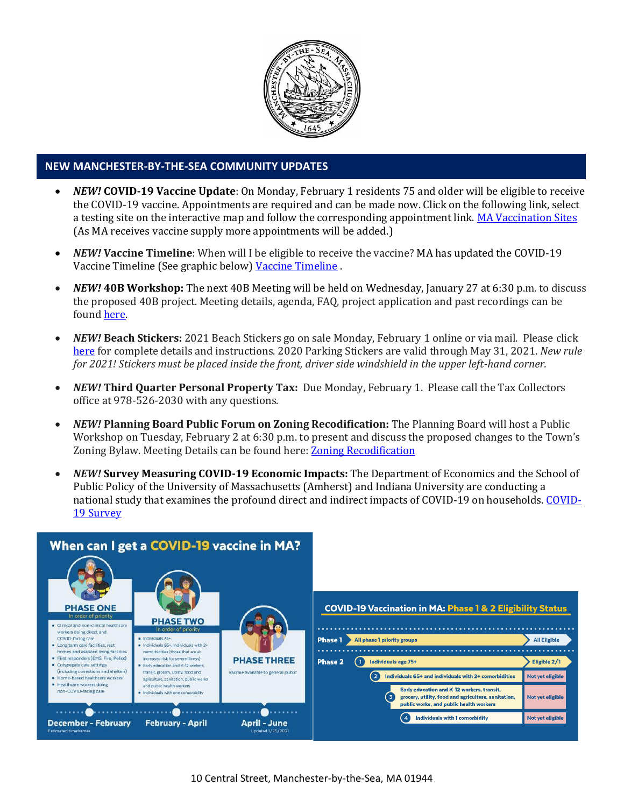

#### **NEW MANCHESTER-BY-THE-SEA COMMUNITY UPDATES**

- *NEW!* **COVID-19 Vaccine Update**: On Monday, February 1 residents 75 and older will be eligible to receive the COVID-19 vaccine. Appointments are required and can be made now. Click on the following link, select a testing site on the interactive map and follow the corresponding appointment link. [MA Vaccination Sites](https://www.mass.gov/info-details/covid-19-vaccination-locations-for-individuals-in-eligible-groups-and-phases#find-a-location-to-get-vaccinated-if-eligible-) (As MA receives vaccine supply more appointments will be added.)
- *NEW!* **Vaccine Timeline**: When will I be eligible to receive the vaccine? MA has updated the COVID-19 Vaccine Timeline (See graphic below) [Vaccine Timeline](http://ma-manchesterbythesea.civicplus.com/DocumentCenter/View/3630/StopCOVID19_Timeline-for-Distribution_Final_English-1) .
- *NEW!* **40B Workshop:** The next 40B Meeting will be held on Wednesday, January 27 at 6:30 p.m. to discuss the proposed 40B project. Meeting details, agenda, FAQ, project application and past recordings can be found [here.](http://manchester.ma.us/729/40B)
- *NEW!* **Beach Stickers:** 2021 Beach Stickers go on sale Monday, February 1 online or via mail. Please click [here](http://manchester.ma.us/252/Beach-Resident-Parking-Stickers) for complete details and instructions. 2020 Parking Stickers are valid through May 31, 2021. *New rule for 2021! Stickers must be placed inside the front, driver side windshield in the upper left-hand corner.*
- *NEW!* **Third Quarter Personal Property Tax:** Due Monday, February 1. Please call the Tax Collectors office at 978-526-2030 with any questions.
- *NEW!* **Planning Board Public Forum on Zoning Recodification:** The Planning Board will host a Public Workshop on Tuesday, February 2 at 6:30 p.m. to present and discuss the proposed changes to the Town's Zoning Bylaw. Meeting Details can be found here[: Zoning Recodification](http://www.manchester.ma.us/703/Zoning-Recodification)
- *NEW!* **Survey Measuring COVID-19 Economic Impacts:** The Department of Economics and the School of Public Policy of the University of Massachusetts (Amherst) and Indiana University are conducting a national study that examines the profound direct and indirect impacts of COVID-19 on households. [COVID-](http://mma.informz.net/z/cjUucD9taT04MjQwNTE4JnA9MSZ1PTgyMjgxNjc1MyZsaT02OTY0MjY5Ng/index.html)[19 Survey](http://mma.informz.net/z/cjUucD9taT04MjQwNTE4JnA9MSZ1PTgyMjgxNjc1MyZsaT02OTY0MjY5Ng/index.html)

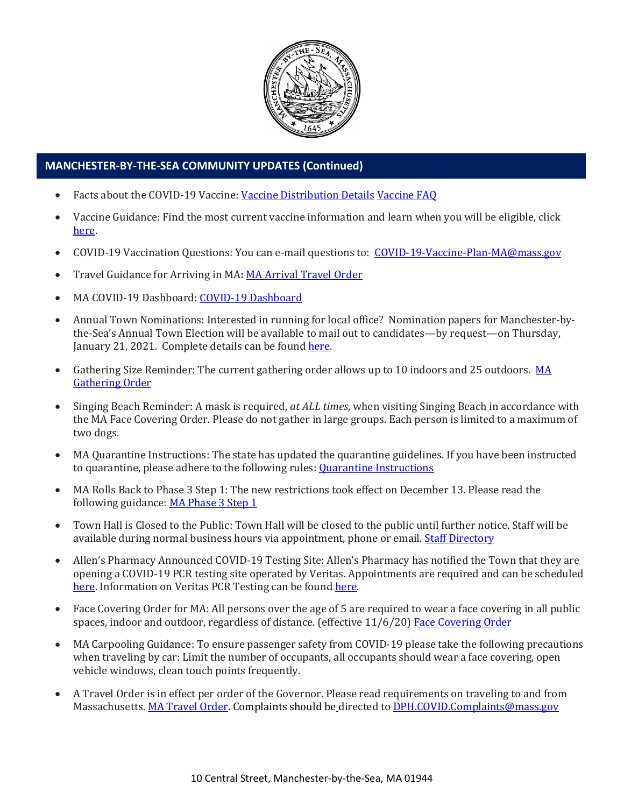

# **MANCHESTER-BY-THE-SEA COMMUNITY UPDATES (Continued)**

- Facts about the COVID-19 Vaccine: [Vaccine Distribution Details](http://ma-manchesterbythesea.civicplus.com/DocumentCenter/View/3629/StopCOVID19_Need-to-Know_Final_English) [Vaccine FAQ](https://www.mass.gov/info-details/covid-19-vaccine-frequently-asked-questions)
- Vaccine Guidance: Find the most current vaccine information and learn when you will be eligible, click [here.](https://www.mass.gov/info-details/when-can-i-get-the-covid-19-vaccine)
- COVID-19 Vaccination Questions: You can e-mail questions to: [COVID-19-Vaccine-Plan-MA@mass.gov](file:///C:/Users/marlettat/Desktop/Public%20Relations/2021/COVID-19-Vaccine-Plan-MA@mass.gov)
- Travel Guidance for Arriving in MA**:** [MA Arrival Travel Order](https://www.mass.gov/guidance/guidance-for-travelers-arriving-in-the-commonwealth-of-massachusetts)
- MA COVID-19 Dashboard: [COVID-19 Dashboard](https://www.mass.gov/info-details/covid-19-response-reporting#covid-19-interactive-data-dashboard-)
- Annual Town Nominations: Interested in running for local office? Nomination papers for Manchester-bythe-Sea's Annual Town Election will be available to mail out to candidates—by request—on Thursday, January 21, 2021. Complete details can be foun[d here.](http://ma-manchesterbythesea.civicplus.com/DocumentCenter/View/3628/PRESS-RELEASE-FOR-NOMINATION-PAPERS-2021)
- Gathering Size Reminder: The current gathering order allows up to 10 indoors and 25 outdoors. MA [Gathering Order](http://manchester.ma.us/DocumentCenter/View/3611/StopCOVID19-LargeGathering-Updated-2020-12-26_English)
- Singing Beach Reminder: A mask is required, *at ALL times*, when visiting Singing Beach in accordance with the MA Face Covering Order. Please do not gather in large groups. Each person is limited to a maximum of two dogs.
- MA Quarantine Instructions: The state has updated the quarantine guidelines. If you have been instructed to quarantine, please adhere to the following rules: [Quarantine Instructions](http://manchester.ma.us/DocumentCenter/View/3558/14-10-7-day-COVID19_Quarantine-information-1272020)
- MA Rolls Back to Phase 3 Step 1: The new restrictions took effect on December 13. Please read the following guidance: [MA Phase 3 Step 1](https://www.mass.gov/news/baker-polito-administration-announces-statewide-rollback-to-phase-three-step-one-additional)
- Town Hall is Closed to the Public: Town Hall will be closed to the public until further notice. Staff will be available during normal business hours via appointment, phone or email. [Staff Directory](http://manchester.ma.us/directory.aspx)
- Allen's Pharmacy Announced COVID-19 Testing Site: Allen's Pharmacy has notified the Town that they are opening a COVID-19 PCR testing site operated by Veritas. Appointments are required and can be scheduled [here.](https://schedule.veritasgenetics.com/) Information on Veritas PCR Testing can be found [here.](https://www.veritasgenetics.com/covid-molecular/)
- Face Covering Order for MA: All persons over the age of 5 are required to wear a face covering in all public spaces, indoor and outdoor, regardless of distance. (effective 11/6/20) [Face Covering Order](http://manchester.ma.us/DocumentCenter/View/3499/Revised-Face-Coverings-Order-No-55-1?fbclid=IwAR1a7l39TKetEAZ_mA8K6saG2GZ1dRBKA9-xuJJ3tDlAVUGCp7YatZmCKEo)
- MA Carpooling Guidance: To ensure passenger safety from COVID-19 please take the following precautions when traveling by car: Limit the number of occupants, all occupants should wear a face covering, open vehicle windows, clean touch points frequently.
- A Travel Order is in effect per order of the Governor. Please read requirements on traveling to and from Massachusetts. [MA Travel Order.](https://www.mass.gov/info-details/covid-19-travel-order) Complaints should be directed to [DPH.COVID.Complaints@mass.gov](mailto:DPH.COVID.Complaints@mass.gov)